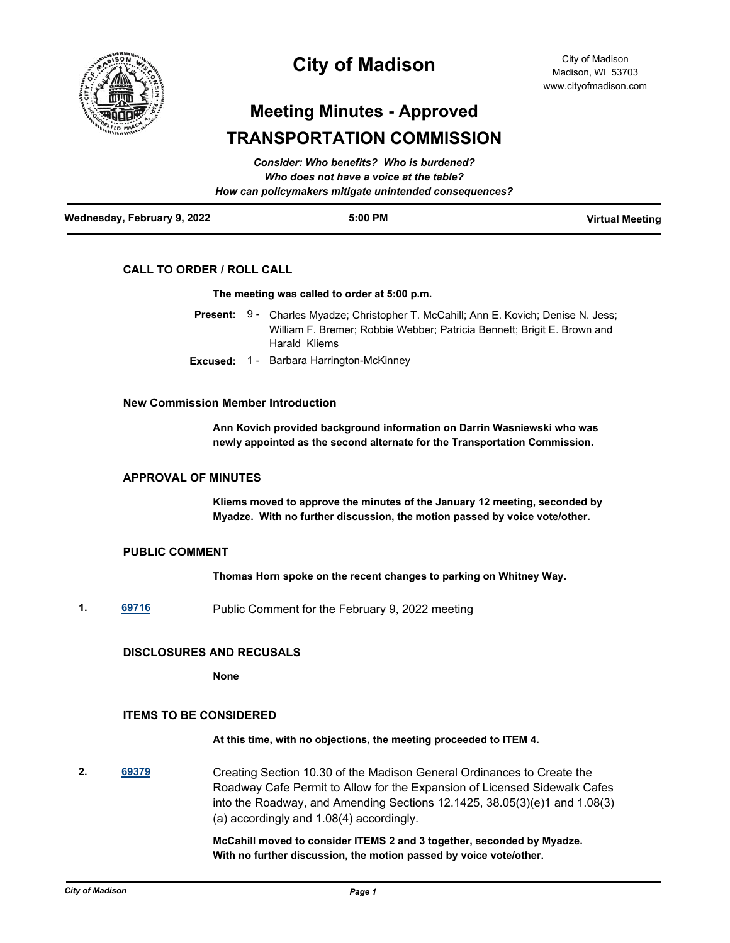

## **City of Madison**

# **Meeting Minutes - Approved TRANSPORTATION COMMISSION**

| Wednesday, February 9, 2022 | $5:00$ PM                                              | <b>Virtual Meeting</b> |
|-----------------------------|--------------------------------------------------------|------------------------|
|                             | How can policymakers mitigate unintended consequences? |                        |
|                             | Who does not have a voice at the table?                |                        |
|                             | Consider: Who benefits? Who is burdened?               |                        |

## **CALL TO ORDER / ROLL CALL**

#### **The meeting was called to order at 5:00 p.m.**

- Present: 9 Charles Myadze; Christopher T. McCahill; Ann E. Kovich; Denise N. Jess; William F. Bremer; Robbie Webber; Patricia Bennett; Brigit E. Brown and Harald Kliems
- **Excused:** 1 Barbara Harrington-McKinney

#### **New Commission Member Introduction**

**Ann Kovich provided background information on Darrin Wasniewski who was newly appointed as the second alternate for the Transportation Commission.**

## **APPROVAL OF MINUTES**

**Kliems moved to approve the minutes of the January 12 meeting, seconded by Myadze. With no further discussion, the motion passed by voice vote/other.**

#### **PUBLIC COMMENT**

**Thomas Horn spoke on the recent changes to parking on Whitney Way.**

**1. [69716](http://madison.legistar.com/gateway.aspx?m=l&id=/matter.aspx?key=81035)** Public Comment for the February 9, 2022 meeting

#### **DISCLOSURES AND RECUSALS**

**None**

#### **ITEMS TO BE CONSIDERED**

**At this time, with no objections, the meeting proceeded to ITEM 4.**

**2. [69379](http://madison.legistar.com/gateway.aspx?m=l&id=/matter.aspx?key=80806)** Creating Section 10.30 of the Madison General Ordinances to Create the Roadway Cafe Permit to Allow for the Expansion of Licensed Sidewalk Cafes into the Roadway, and Amending Sections 12.1425, 38.05(3)(e)1 and 1.08(3) (a) accordingly and 1.08(4) accordingly.

> **McCahill moved to consider ITEMS 2 and 3 together, seconded by Myadze. With no further discussion, the motion passed by voice vote/other.**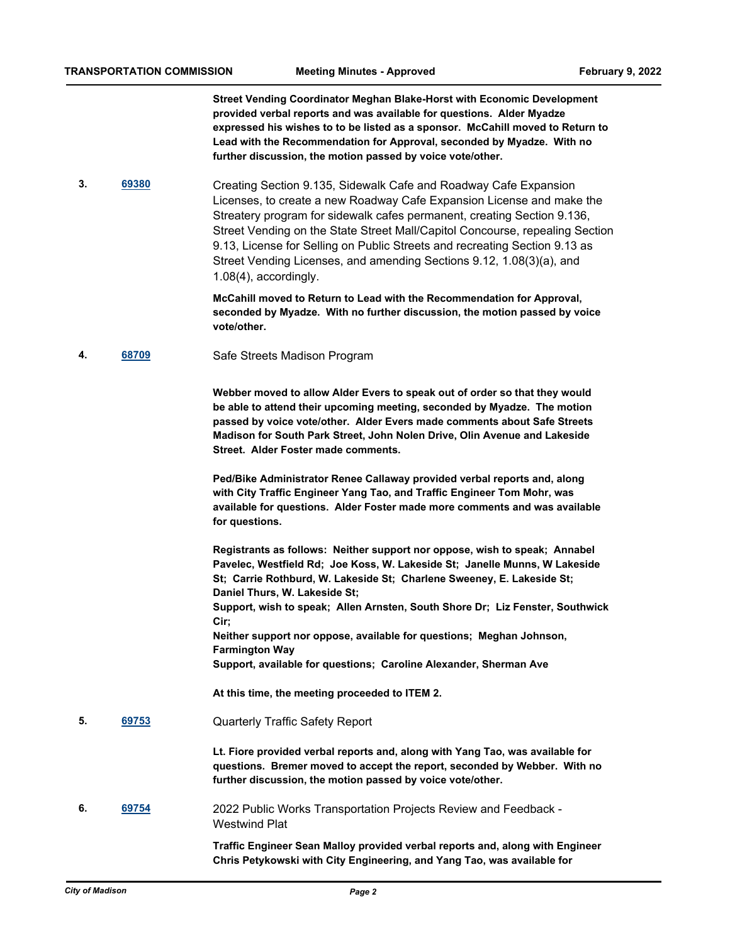**Street Vending Coordinator Meghan Blake-Horst with Economic Development provided verbal reports and was available for questions. Alder Myadze expressed his wishes to to be listed as a sponsor. McCahill moved to Return to Lead with the Recommendation for Approval, seconded by Myadze. With no further discussion, the motion passed by voice vote/other.**

**3. [69380](http://madison.legistar.com/gateway.aspx?m=l&id=/matter.aspx?key=80807)** Creating Section 9.135, Sidewalk Cafe and Roadway Cafe Expansion Licenses, to create a new Roadway Cafe Expansion License and make the Streatery program for sidewalk cafes permanent, creating Section 9.136, Street Vending on the State Street Mall/Capitol Concourse, repealing Section 9.13, License for Selling on Public Streets and recreating Section 9.13 as Street Vending Licenses, and amending Sections 9.12, 1.08(3)(a), and 1.08(4), accordingly.

> **McCahill moved to Return to Lead with the Recommendation for Approval, seconded by Myadze. With no further discussion, the motion passed by voice vote/other.**

**4. [68709](http://madison.legistar.com/gateway.aspx?m=l&id=/matter.aspx?key=80319)** Safe Streets Madison Program

**Webber moved to allow Alder Evers to speak out of order so that they would be able to attend their upcoming meeting, seconded by Myadze. The motion passed by voice vote/other. Alder Evers made comments about Safe Streets Madison for South Park Street, John Nolen Drive, Olin Avenue and Lakeside Street. Alder Foster made comments.**

**Ped/Bike Administrator Renee Callaway provided verbal reports and, along with City Traffic Engineer Yang Tao, and Traffic Engineer Tom Mohr, was available for questions. Alder Foster made more comments and was available for questions.**

**Registrants as follows: Neither support nor oppose, wish to speak; Annabel Pavelec, Westfield Rd; Joe Koss, W. Lakeside St; Janelle Munns, W Lakeside St; Carrie Rothburd, W. Lakeside St; Charlene Sweeney, E. Lakeside St; Daniel Thurs, W. Lakeside St;**

**Support, wish to speak; Allen Arnsten, South Shore Dr; Liz Fenster, Southwick Cir;**

**Neither support nor oppose, available for questions; Meghan Johnson, Farmington Way**

**Support, available for questions; Caroline Alexander, Sherman Ave**

**At this time, the meeting proceeded to ITEM 2.**

**5. [69753](http://madison.legistar.com/gateway.aspx?m=l&id=/matter.aspx?key=81060)** Quarterly Traffic Safety Report

**Lt. Fiore provided verbal reports and, along with Yang Tao, was available for questions. Bremer moved to accept the report, seconded by Webber. With no further discussion, the motion passed by voice vote/other.**

**6. [69754](http://madison.legistar.com/gateway.aspx?m=l&id=/matter.aspx?key=81061)** 2022 Public Works Transportation Projects Review and Feedback - Westwind Plat

> **Traffic Engineer Sean Malloy provided verbal reports and, along with Engineer Chris Petykowski with City Engineering, and Yang Tao, was available for**